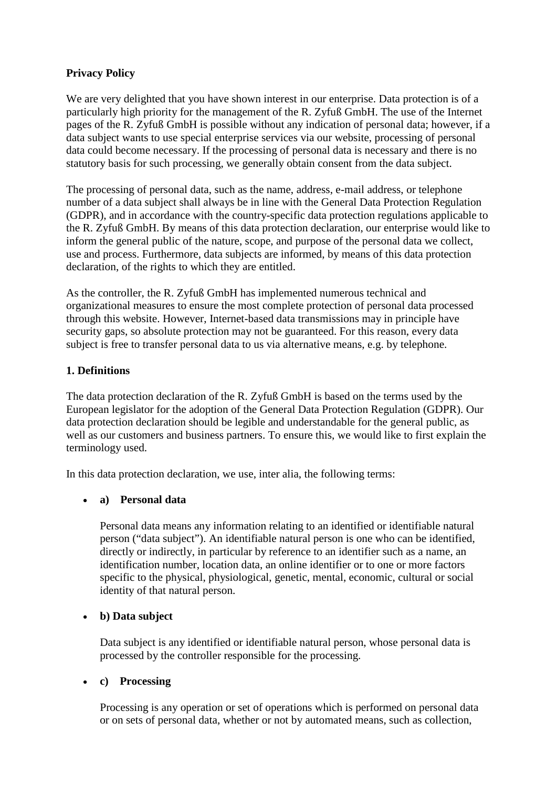# **Privacy Policy**

We are very delighted that you have shown interest in our enterprise. Data protection is of a particularly high priority for the management of the R. Zyfuß GmbH. The use of the Internet pages of the R. Zyfuß GmbH is possible without any indication of personal data; however, if a data subject wants to use special enterprise services via our website, processing of personal data could become necessary. If the processing of personal data is necessary and there is no statutory basis for such processing, we generally obtain consent from the data subject.

The processing of personal data, such as the name, address, e-mail address, or telephone number of a data subject shall always be in line with the General Data Protection Regulation (GDPR), and in accordance with the country-specific data protection regulations applicable to the R. Zyfuß GmbH. By means of this data protection declaration, our enterprise would like to inform the general public of the nature, scope, and purpose of the personal data we collect, use and process. Furthermore, data subjects are informed, by means of this data protection declaration, of the rights to which they are entitled.

As the controller, the R. Zyfuß GmbH has implemented numerous technical and organizational measures to ensure the most complete protection of personal data processed through this website. However, Internet-based data transmissions may in principle have security gaps, so absolute protection may not be guaranteed. For this reason, every data subject is free to transfer personal data to us via alternative means, e.g. by telephone.

# **1. Definitions**

The data protection declaration of the R. Zyfuß GmbH is based on the terms used by the European legislator for the adoption of the General Data Protection Regulation (GDPR). Our data protection declaration should be legible and understandable for the general public, as well as our customers and business partners. To ensure this, we would like to first explain the terminology used.

In this data protection declaration, we use, inter alia, the following terms:

## • **a) Personal data**

Personal data means any information relating to an identified or identifiable natural person ("data subject"). An identifiable natural person is one who can be identified, directly or indirectly, in particular by reference to an identifier such as a name, an identification number, location data, an online identifier or to one or more factors specific to the physical, physiological, genetic, mental, economic, cultural or social identity of that natural person.

## • **b) Data subject**

Data subject is any identified or identifiable natural person, whose personal data is processed by the controller responsible for the processing.

## • **c) Processing**

Processing is any operation or set of operations which is performed on personal data or on sets of personal data, whether or not by automated means, such as collection,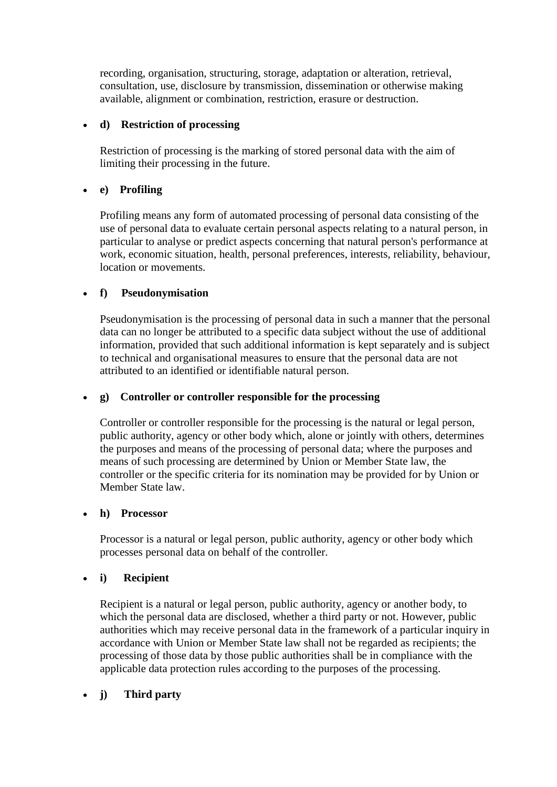recording, organisation, structuring, storage, adaptation or alteration, retrieval, consultation, use, disclosure by transmission, dissemination or otherwise making available, alignment or combination, restriction, erasure or destruction.

### • **d) Restriction of processing**

Restriction of processing is the marking of stored personal data with the aim of limiting their processing in the future.

## • **e) Profiling**

Profiling means any form of automated processing of personal data consisting of the use of personal data to evaluate certain personal aspects relating to a natural person, in particular to analyse or predict aspects concerning that natural person's performance at work, economic situation, health, personal preferences, interests, reliability, behaviour, location or movements.

### • **f) Pseudonymisation**

Pseudonymisation is the processing of personal data in such a manner that the personal data can no longer be attributed to a specific data subject without the use of additional information, provided that such additional information is kept separately and is subject to technical and organisational measures to ensure that the personal data are not attributed to an identified or identifiable natural person.

### • **g) Controller or controller responsible for the processing**

Controller or controller responsible for the processing is the natural or legal person, public authority, agency or other body which, alone or jointly with others, determines the purposes and means of the processing of personal data; where the purposes and means of such processing are determined by Union or Member State law, the controller or the specific criteria for its nomination may be provided for by Union or Member State law.

### • **h) Processor**

Processor is a natural or legal person, public authority, agency or other body which processes personal data on behalf of the controller.

### • **i) Recipient**

Recipient is a natural or legal person, public authority, agency or another body, to which the personal data are disclosed, whether a third party or not. However, public authorities which may receive personal data in the framework of a particular inquiry in accordance with Union or Member State law shall not be regarded as recipients; the processing of those data by those public authorities shall be in compliance with the applicable data protection rules according to the purposes of the processing.

## • **j) Third party**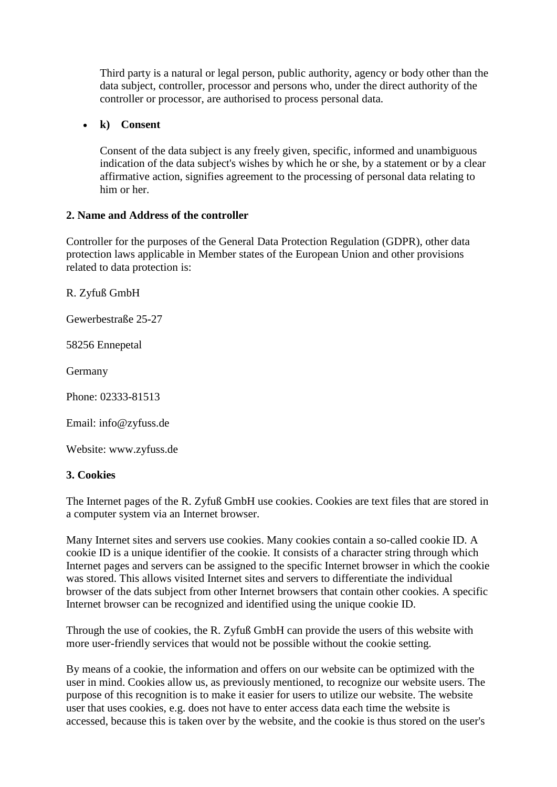Third party is a natural or legal person, public authority, agency or body other than the data subject, controller, processor and persons who, under the direct authority of the controller or processor, are authorised to process personal data.

### • **k) Consent**

Consent of the data subject is any freely given, specific, informed and unambiguous indication of the data subject's wishes by which he or she, by a statement or by a clear affirmative action, signifies agreement to the processing of personal data relating to him or her.

### **2. Name and Address of the controller**

Controller for the purposes of the General Data Protection Regulation (GDPR), other data protection laws applicable in Member states of the European Union and other provisions related to data protection is:

R. Zyfuß GmbH

Gewerbestraße 25-27

58256 Ennepetal

Germany

Phone: 02333-81513

Email: info@zyfuss.de

Website: www.zyfuss.de

### **3. Cookies**

The Internet pages of the R. Zyfuß GmbH use cookies. Cookies are text files that are stored in a computer system via an Internet browser.

Many Internet sites and servers use cookies. Many cookies contain a so-called cookie ID. A cookie ID is a unique identifier of the cookie. It consists of a character string through which Internet pages and servers can be assigned to the specific Internet browser in which the cookie was stored. This allows visited Internet sites and servers to differentiate the individual browser of the dats subject from other Internet browsers that contain other cookies. A specific Internet browser can be recognized and identified using the unique cookie ID.

Through the use of cookies, the R. Zyfuß GmbH can provide the users of this website with more user-friendly services that would not be possible without the cookie setting.

By means of a cookie, the information and offers on our website can be optimized with the user in mind. Cookies allow us, as previously mentioned, to recognize our website users. The purpose of this recognition is to make it easier for users to utilize our website. The website user that uses cookies, e.g. does not have to enter access data each time the website is accessed, because this is taken over by the website, and the cookie is thus stored on the user's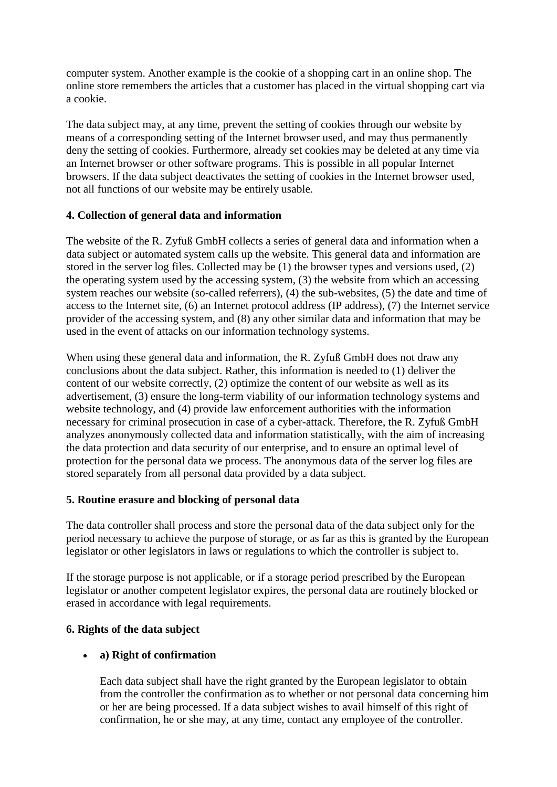computer system. Another example is the cookie of a shopping cart in an online shop. The online store remembers the articles that a customer has placed in the virtual shopping cart via a cookie.

The data subject may, at any time, prevent the setting of cookies through our website by means of a corresponding setting of the Internet browser used, and may thus permanently deny the setting of cookies. Furthermore, already set cookies may be deleted at any time via an Internet browser or other software programs. This is possible in all popular Internet browsers. If the data subject deactivates the setting of cookies in the Internet browser used, not all functions of our website may be entirely usable.

# **4. Collection of general data and information**

The website of the R. Zyfuß GmbH collects a series of general data and information when a data subject or automated system calls up the website. This general data and information are stored in the server log files. Collected may be (1) the browser types and versions used, (2) the operating system used by the accessing system, (3) the website from which an accessing system reaches our website (so-called referrers), (4) the sub-websites, (5) the date and time of access to the Internet site, (6) an Internet protocol address (IP address), (7) the Internet service provider of the accessing system, and (8) any other similar data and information that may be used in the event of attacks on our information technology systems.

When using these general data and information, the R. Zyfuß GmbH does not draw any conclusions about the data subject. Rather, this information is needed to (1) deliver the content of our website correctly, (2) optimize the content of our website as well as its advertisement, (3) ensure the long-term viability of our information technology systems and website technology, and (4) provide law enforcement authorities with the information necessary for criminal prosecution in case of a cyber-attack. Therefore, the R. Zyfuß GmbH analyzes anonymously collected data and information statistically, with the aim of increasing the data protection and data security of our enterprise, and to ensure an optimal level of protection for the personal data we process. The anonymous data of the server log files are stored separately from all personal data provided by a data subject.

## **5. Routine erasure and blocking of personal data**

The data controller shall process and store the personal data of the data subject only for the period necessary to achieve the purpose of storage, or as far as this is granted by the European legislator or other legislators in laws or regulations to which the controller is subject to.

If the storage purpose is not applicable, or if a storage period prescribed by the European legislator or another competent legislator expires, the personal data are routinely blocked or erased in accordance with legal requirements.

# **6. Rights of the data subject**

# • **a) Right of confirmation**

Each data subject shall have the right granted by the European legislator to obtain from the controller the confirmation as to whether or not personal data concerning him or her are being processed. If a data subject wishes to avail himself of this right of confirmation, he or she may, at any time, contact any employee of the controller.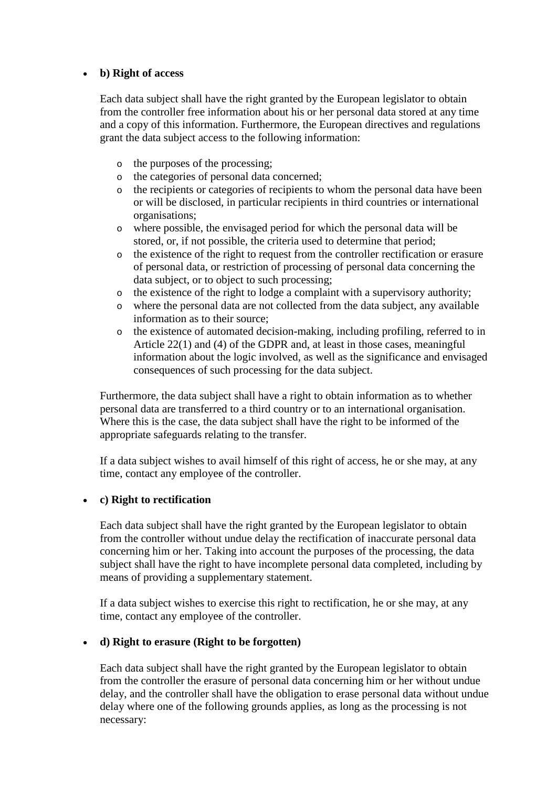## • **b) Right of access**

Each data subject shall have the right granted by the European legislator to obtain from the controller free information about his or her personal data stored at any time and a copy of this information. Furthermore, the European directives and regulations grant the data subject access to the following information:

- o the purposes of the processing;
- o the categories of personal data concerned;
- o the recipients or categories of recipients to whom the personal data have been or will be disclosed, in particular recipients in third countries or international organisations;
- o where possible, the envisaged period for which the personal data will be stored, or, if not possible, the criteria used to determine that period;
- o the existence of the right to request from the controller rectification or erasure of personal data, or restriction of processing of personal data concerning the data subject, or to object to such processing;
- o the existence of the right to lodge a complaint with a supervisory authority;
- o where the personal data are not collected from the data subject, any available information as to their source;
- o the existence of automated decision-making, including profiling, referred to in Article 22(1) and (4) of the GDPR and, at least in those cases, meaningful information about the logic involved, as well as the significance and envisaged consequences of such processing for the data subject.

Furthermore, the data subject shall have a right to obtain information as to whether personal data are transferred to a third country or to an international organisation. Where this is the case, the data subject shall have the right to be informed of the appropriate safeguards relating to the transfer.

If a data subject wishes to avail himself of this right of access, he or she may, at any time, contact any employee of the controller.

### • **c) Right to rectification**

Each data subject shall have the right granted by the European legislator to obtain from the controller without undue delay the rectification of inaccurate personal data concerning him or her. Taking into account the purposes of the processing, the data subject shall have the right to have incomplete personal data completed, including by means of providing a supplementary statement.

If a data subject wishes to exercise this right to rectification, he or she may, at any time, contact any employee of the controller.

### • **d) Right to erasure (Right to be forgotten)**

Each data subject shall have the right granted by the European legislator to obtain from the controller the erasure of personal data concerning him or her without undue delay, and the controller shall have the obligation to erase personal data without undue delay where one of the following grounds applies, as long as the processing is not necessary: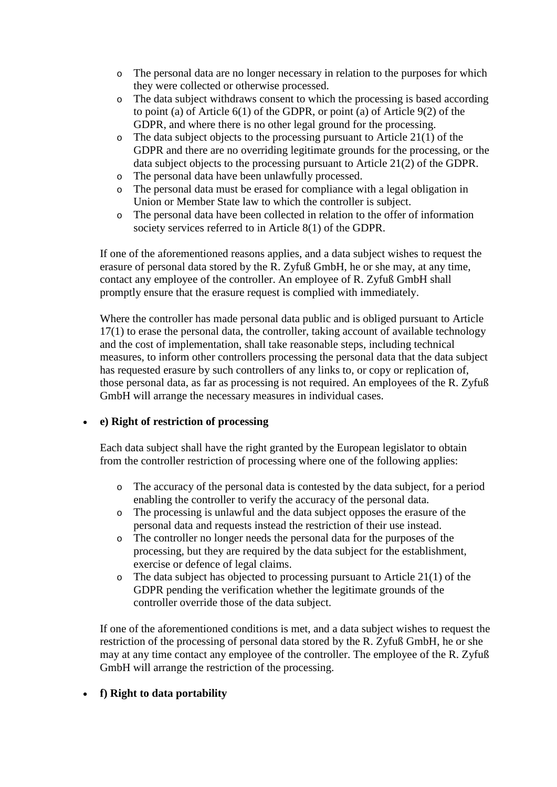- o The personal data are no longer necessary in relation to the purposes for which they were collected or otherwise processed.
- o The data subject withdraws consent to which the processing is based according to point (a) of Article 6(1) of the GDPR, or point (a) of Article 9(2) of the GDPR, and where there is no other legal ground for the processing.
- $\circ$  The data subject objects to the processing pursuant to Article 21(1) of the GDPR and there are no overriding legitimate grounds for the processing, or the data subject objects to the processing pursuant to Article 21(2) of the GDPR.
- o The personal data have been unlawfully processed.
- o The personal data must be erased for compliance with a legal obligation in Union or Member State law to which the controller is subject.
- o The personal data have been collected in relation to the offer of information society services referred to in Article 8(1) of the GDPR.

If one of the aforementioned reasons applies, and a data subject wishes to request the erasure of personal data stored by the R. Zyfuß GmbH, he or she may, at any time, contact any employee of the controller. An employee of R. Zyfuß GmbH shall promptly ensure that the erasure request is complied with immediately.

Where the controller has made personal data public and is obliged pursuant to Article 17(1) to erase the personal data, the controller, taking account of available technology and the cost of implementation, shall take reasonable steps, including technical measures, to inform other controllers processing the personal data that the data subject has requested erasure by such controllers of any links to, or copy or replication of, those personal data, as far as processing is not required. An employees of the R. Zyfuß GmbH will arrange the necessary measures in individual cases.

## • **e) Right of restriction of processing**

Each data subject shall have the right granted by the European legislator to obtain from the controller restriction of processing where one of the following applies:

- o The accuracy of the personal data is contested by the data subject, for a period enabling the controller to verify the accuracy of the personal data.
- o The processing is unlawful and the data subject opposes the erasure of the personal data and requests instead the restriction of their use instead.
- o The controller no longer needs the personal data for the purposes of the processing, but they are required by the data subject for the establishment, exercise or defence of legal claims.
- $\circ$  The data subject has objected to processing pursuant to Article 21(1) of the GDPR pending the verification whether the legitimate grounds of the controller override those of the data subject.

If one of the aforementioned conditions is met, and a data subject wishes to request the restriction of the processing of personal data stored by the R. Zyfuß GmbH, he or she may at any time contact any employee of the controller. The employee of the R. Zyfuß GmbH will arrange the restriction of the processing.

## • **f) Right to data portability**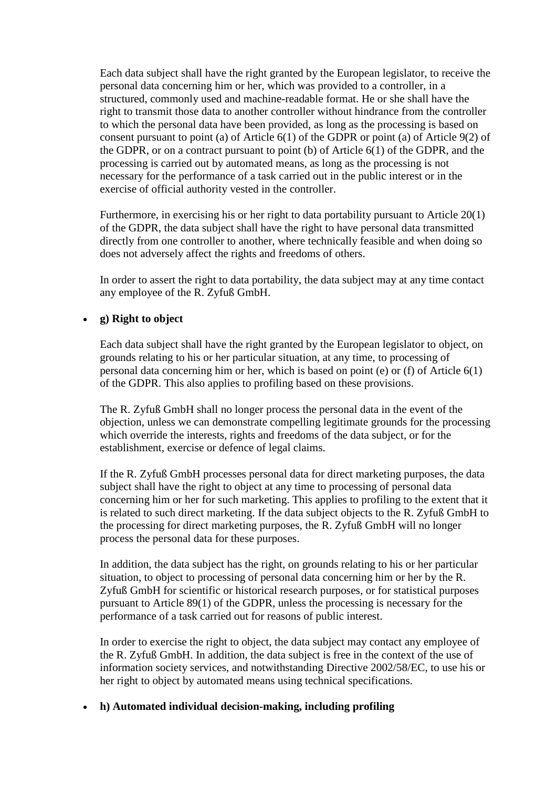Each data subject shall have the right granted by the European legislator, to receive the personal data concerning him or her, which was provided to a controller, in a structured, commonly used and machine-readable format. He or she shall have the right to transmit those data to another controller without hindrance from the controller to which the personal data have been provided, as long as the processing is based on consent pursuant to point (a) of Article 6(1) of the GDPR or point (a) of Article 9(2) of the GDPR, or on a contract pursuant to point (b) of Article 6(1) of the GDPR, and the processing is carried out by automated means, as long as the processing is not necessary for the performance of a task carried out in the public interest or in the exercise of official authority vested in the controller.

Furthermore, in exercising his or her right to data portability pursuant to Article 20(1) of the GDPR, the data subject shall have the right to have personal data transmitted directly from one controller to another, where technically feasible and when doing so does not adversely affect the rights and freedoms of others.

In order to assert the right to data portability, the data subject may at any time contact any employee of the R. Zyfuß GmbH.

## • **g) Right to object**

Each data subject shall have the right granted by the European legislator to object, on grounds relating to his or her particular situation, at any time, to processing of personal data concerning him or her, which is based on point (e) or (f) of Article 6(1) of the GDPR. This also applies to profiling based on these provisions.

The R. Zyfuß GmbH shall no longer process the personal data in the event of the objection, unless we can demonstrate compelling legitimate grounds for the processing which override the interests, rights and freedoms of the data subject, or for the establishment, exercise or defence of legal claims.

If the R. Zyfuß GmbH processes personal data for direct marketing purposes, the data subject shall have the right to object at any time to processing of personal data concerning him or her for such marketing. This applies to profiling to the extent that it is related to such direct marketing. If the data subject objects to the R. Zyfuß GmbH to the processing for direct marketing purposes, the R. Zyfuß GmbH will no longer process the personal data for these purposes.

In addition, the data subject has the right, on grounds relating to his or her particular situation, to object to processing of personal data concerning him or her by the R. Zyfuß GmbH for scientific or historical research purposes, or for statistical purposes pursuant to Article 89(1) of the GDPR, unless the processing is necessary for the performance of a task carried out for reasons of public interest.

In order to exercise the right to object, the data subject may contact any employee of the R. Zyfuß GmbH. In addition, the data subject is free in the context of the use of information society services, and notwithstanding Directive 2002/58/EC, to use his or her right to object by automated means using technical specifications.

## • **h) Automated individual decision-making, including profiling**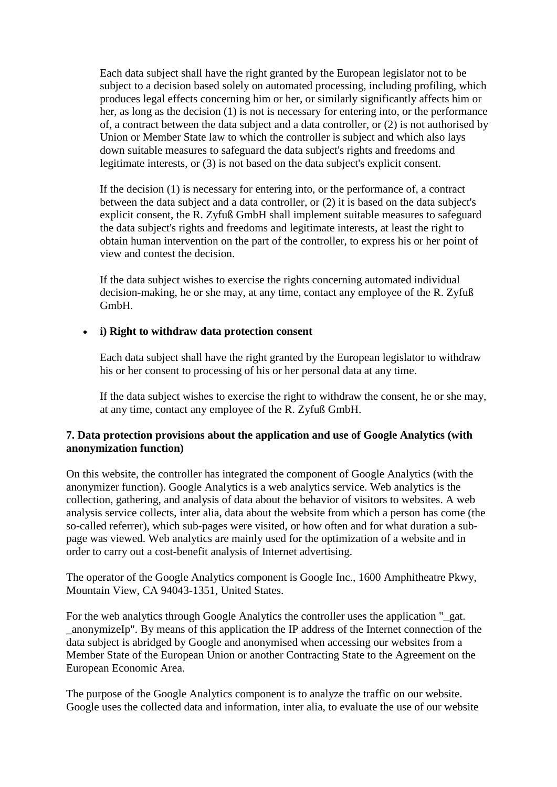Each data subject shall have the right granted by the European legislator not to be subject to a decision based solely on automated processing, including profiling, which produces legal effects concerning him or her, or similarly significantly affects him or her, as long as the decision (1) is not is necessary for entering into, or the performance of, a contract between the data subject and a data controller, or (2) is not authorised by Union or Member State law to which the controller is subject and which also lays down suitable measures to safeguard the data subject's rights and freedoms and legitimate interests, or (3) is not based on the data subject's explicit consent.

If the decision (1) is necessary for entering into, or the performance of, a contract between the data subject and a data controller, or (2) it is based on the data subject's explicit consent, the R. Zyfuß GmbH shall implement suitable measures to safeguard the data subject's rights and freedoms and legitimate interests, at least the right to obtain human intervention on the part of the controller, to express his or her point of view and contest the decision.

If the data subject wishes to exercise the rights concerning automated individual decision-making, he or she may, at any time, contact any employee of the R. Zyfuß GmbH.

### • **i) Right to withdraw data protection consent**

Each data subject shall have the right granted by the European legislator to withdraw his or her consent to processing of his or her personal data at any time.

If the data subject wishes to exercise the right to withdraw the consent, he or she may, at any time, contact any employee of the R. Zyfuß GmbH.

## **7. Data protection provisions about the application and use of Google Analytics (with anonymization function)**

On this website, the controller has integrated the component of Google Analytics (with the anonymizer function). Google Analytics is a web analytics service. Web analytics is the collection, gathering, and analysis of data about the behavior of visitors to websites. A web analysis service collects, inter alia, data about the website from which a person has come (the so-called referrer), which sub-pages were visited, or how often and for what duration a subpage was viewed. Web analytics are mainly used for the optimization of a website and in order to carry out a cost-benefit analysis of Internet advertising.

The operator of the Google Analytics component is Google Inc., 1600 Amphitheatre Pkwy, Mountain View, CA 94043-1351, United States.

For the web analytics through Google Analytics the controller uses the application "\_gat. \_anonymizeIp". By means of this application the IP address of the Internet connection of the data subject is abridged by Google and anonymised when accessing our websites from a Member State of the European Union or another Contracting State to the Agreement on the European Economic Area.

The purpose of the Google Analytics component is to analyze the traffic on our website. Google uses the collected data and information, inter alia, to evaluate the use of our website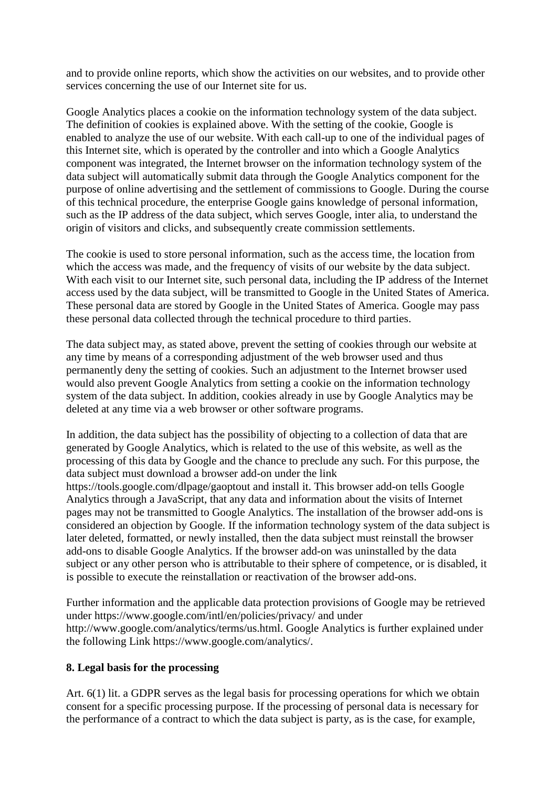and to provide online reports, which show the activities on our websites, and to provide other services concerning the use of our Internet site for us.

Google Analytics places a cookie on the information technology system of the data subject. The definition of cookies is explained above. With the setting of the cookie, Google is enabled to analyze the use of our website. With each call-up to one of the individual pages of this Internet site, which is operated by the controller and into which a Google Analytics component was integrated, the Internet browser on the information technology system of the data subject will automatically submit data through the Google Analytics component for the purpose of online advertising and the settlement of commissions to Google. During the course of this technical procedure, the enterprise Google gains knowledge of personal information, such as the IP address of the data subject, which serves Google, inter alia, to understand the origin of visitors and clicks, and subsequently create commission settlements.

The cookie is used to store personal information, such as the access time, the location from which the access was made, and the frequency of visits of our website by the data subject. With each visit to our Internet site, such personal data, including the IP address of the Internet access used by the data subject, will be transmitted to Google in the United States of America. These personal data are stored by Google in the United States of America. Google may pass these personal data collected through the technical procedure to third parties.

The data subject may, as stated above, prevent the setting of cookies through our website at any time by means of a corresponding adjustment of the web browser used and thus permanently deny the setting of cookies. Such an adjustment to the Internet browser used would also prevent Google Analytics from setting a cookie on the information technology system of the data subject. In addition, cookies already in use by Google Analytics may be deleted at any time via a web browser or other software programs.

In addition, the data subject has the possibility of objecting to a collection of data that are generated by Google Analytics, which is related to the use of this website, as well as the processing of this data by Google and the chance to preclude any such. For this purpose, the data subject must download a browser add-on under the link

https://tools.google.com/dlpage/gaoptout and install it. This browser add-on tells Google Analytics through a JavaScript, that any data and information about the visits of Internet pages may not be transmitted to Google Analytics. The installation of the browser add-ons is considered an objection by Google. If the information technology system of the data subject is later deleted, formatted, or newly installed, then the data subject must reinstall the browser add-ons to disable Google Analytics. If the browser add-on was uninstalled by the data subject or any other person who is attributable to their sphere of competence, or is disabled, it is possible to execute the reinstallation or reactivation of the browser add-ons.

Further information and the applicable data protection provisions of Google may be retrieved under https://www.google.com/intl/en/policies/privacy/ and under http://www.google.com/analytics/terms/us.html. Google Analytics is further explained under the following Link https://www.google.com/analytics/.

## **8. Legal basis for the processing**

Art. 6(1) lit. a GDPR serves as the legal basis for processing operations for which we obtain consent for a specific processing purpose. If the processing of personal data is necessary for the performance of a contract to which the data subject is party, as is the case, for example,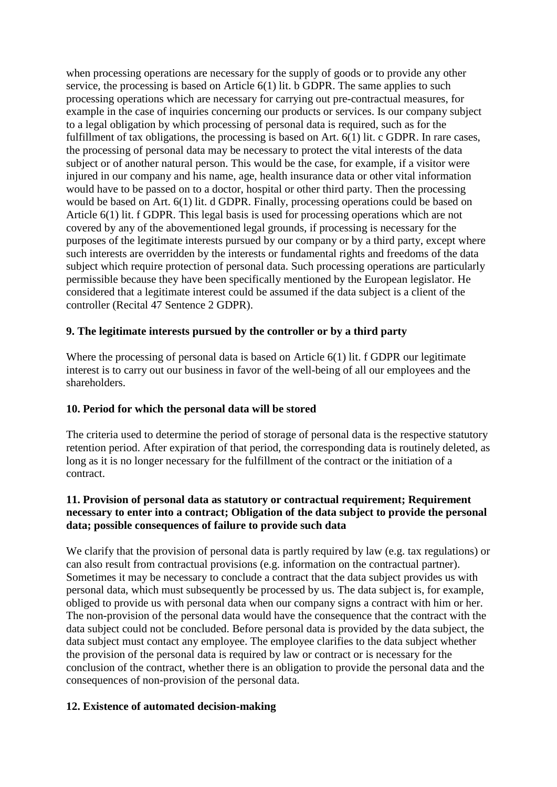when processing operations are necessary for the supply of goods or to provide any other service, the processing is based on Article 6(1) lit. b GDPR. The same applies to such processing operations which are necessary for carrying out pre-contractual measures, for example in the case of inquiries concerning our products or services. Is our company subject to a legal obligation by which processing of personal data is required, such as for the fulfillment of tax obligations, the processing is based on Art. 6(1) lit. c GDPR. In rare cases, the processing of personal data may be necessary to protect the vital interests of the data subject or of another natural person. This would be the case, for example, if a visitor were injured in our company and his name, age, health insurance data or other vital information would have to be passed on to a doctor, hospital or other third party. Then the processing would be based on Art. 6(1) lit. d GDPR. Finally, processing operations could be based on Article 6(1) lit. f GDPR. This legal basis is used for processing operations which are not covered by any of the abovementioned legal grounds, if processing is necessary for the purposes of the legitimate interests pursued by our company or by a third party, except where such interests are overridden by the interests or fundamental rights and freedoms of the data subject which require protection of personal data. Such processing operations are particularly permissible because they have been specifically mentioned by the European legislator. He considered that a legitimate interest could be assumed if the data subject is a client of the controller (Recital 47 Sentence 2 GDPR).

# **9. The legitimate interests pursued by the controller or by a third party**

Where the processing of personal data is based on Article 6(1) lit. f GDPR our legitimate interest is to carry out our business in favor of the well-being of all our employees and the shareholders.

## **10. Period for which the personal data will be stored**

The criteria used to determine the period of storage of personal data is the respective statutory retention period. After expiration of that period, the corresponding data is routinely deleted, as long as it is no longer necessary for the fulfillment of the contract or the initiation of a contract.

## **11. Provision of personal data as statutory or contractual requirement; Requirement necessary to enter into a contract; Obligation of the data subject to provide the personal data; possible consequences of failure to provide such data**

We clarify that the provision of personal data is partly required by law (e.g. tax regulations) or can also result from contractual provisions (e.g. information on the contractual partner). Sometimes it may be necessary to conclude a contract that the data subject provides us with personal data, which must subsequently be processed by us. The data subject is, for example, obliged to provide us with personal data when our company signs a contract with him or her. The non-provision of the personal data would have the consequence that the contract with the data subject could not be concluded. Before personal data is provided by the data subject, the data subject must contact any employee. The employee clarifies to the data subject whether the provision of the personal data is required by law or contract or is necessary for the conclusion of the contract, whether there is an obligation to provide the personal data and the consequences of non-provision of the personal data.

## **12. Existence of automated decision-making**